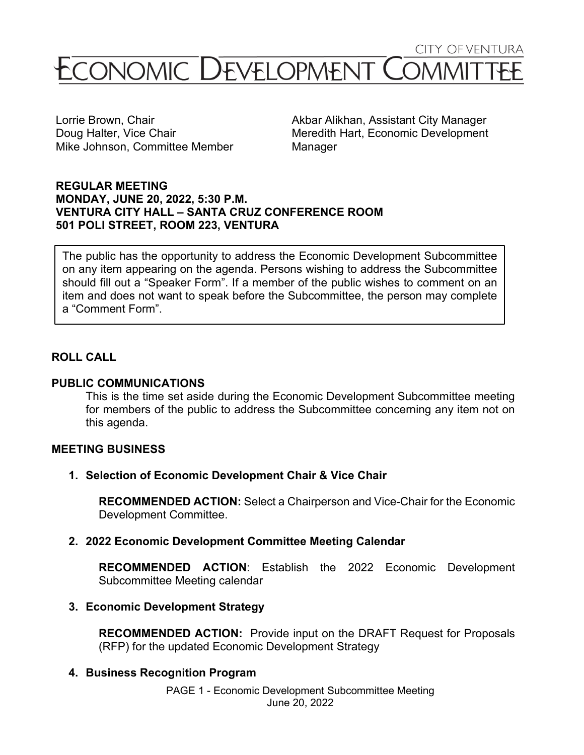**CITY OF VENTURA** 

# CONOMIC DEVELOPMENT C

Mike Johnson, Committee Member Manager

Lorrie Brown, Chair **Akbar Alikhan, Assistant City Manager** According to Akbar Alikhan, Assistant City Manager Doug Halter, Vice Chair **Meredith Hart, Economic Development** 

#### **REGULAR MEETING MONDAY, JUNE 20, 2022, 5:30 P.M. VENTURA CITY HALL – SANTA CRUZ CONFERENCE ROOM 501 POLI STREET, ROOM 223, VENTURA**

The public has the opportunity to address the Economic Development Subcommittee on any item appearing on the agenda. Persons wishing to address the Subcommittee should fill out a "Speaker Form". If a member of the public wishes to comment on an item and does not want to speak before the Subcommittee, the person may complete a "Comment Form".

# **ROLL CALL**

#### **PUBLIC COMMUNICATIONS**

This is the time set aside during the Economic Development Subcommittee meeting for members of the public to address the Subcommittee concerning any item not on this agenda.

## **MEETING BUSINESS**

**1. Selection of Economic Development Chair & Vice Chair**

**RECOMMENDED ACTION:** Select a Chairperson and Vice-Chair for the Economic Development Committee.

#### **2. 2022 Economic Development Committee Meeting Calendar**

**RECOMMENDED ACTION**: Establish the 2022 Economic Development Subcommittee Meeting calendar

## **3. Economic Development Strategy**

**RECOMMENDED ACTION:** Provide input on the DRAFT Request for Proposals (RFP) for the updated Economic Development Strategy

## **4. Business Recognition Program**

PAGE 1 - Economic Development Subcommittee Meeting June 20, 2022